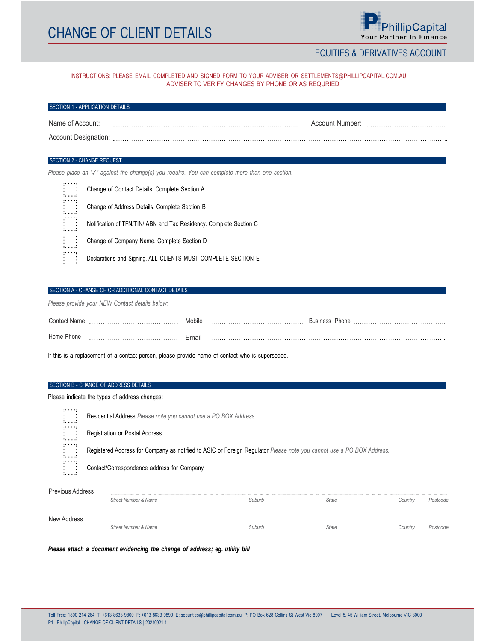# **CHANGE OF CLIENT DETAILS**



## EQUITIES & DERIVATIVES ACCOUNT

## INSTRUCTIONS: PLEASE EMAIL COMPLETED AND SIGNED FORM TO YOUR ADVISER OR SETTLEMENTS@PHILLIPCAPITAL.COM.AU ADVISER TO VERIFY CHANGES BY PHONE OR AS REQURIED

## SECTION 1 - APPLICATION DETAILS

| Name of Account.    | Account Number. |  |
|---------------------|-----------------|--|
| Account Designation |                 |  |

#### SECTION 2 - CHANGE REQUEST

Please place an '√' against the change(s) you require. You can complete more than one section.

| .<br>.  | Change of Contact Details. Complete Section A                      |
|---------|--------------------------------------------------------------------|
| .<br>.: | Change of Address Details. Complete Section B                      |
| .<br>.  | Notification of TFN/TIN/ ABN and Tax Residency. Complete Section C |
| .<br>.  | Change of Company Name. Complete Section D                         |
| .<br>.  | Declarations and Signing. ALL CLIENTS MUST COMPLETE SECTION E      |
|         |                                                                    |

## SECTION A - CHANGE OF OR ADDITIONAL CONTACT DETAILS

Please provide your NEW Contact details below:

| Contact Name   | Mobile | <b>Business</b><br><sup>∪</sup> hone |
|----------------|--------|--------------------------------------|
| Home<br>שווטוי | Email  | .                                    |

If this is a replacement of a contact person, please provide name of contact who is superseded.

#### SECTION B - CHANGE OF ADDRESS DETAILS

Please indicate the types of address changes:

| 100001<br>1.1.1.1      | Residential Address Please note you cannot use a PO BOX Address.                                                     |
|------------------------|----------------------------------------------------------------------------------------------------------------------|
| and the star<br>.      | Registration or Postal Address                                                                                       |
| and the state<br>.     | Registered Address for Company as notified to ASIC or Foreign Regulator Please note you cannot use a PO BOX Address. |
| <b>STATISTICS</b><br>. | Contact/Correspondence address for Company                                                                           |
| Previous Address       |                                                                                                                      |

| i icviuus Auurcss | Street Number & Name | Suburb | <b>State</b> | Country | Postcode |
|-------------------|----------------------|--------|--------------|---------|----------|
| New Address       |                      |        |              |         |          |

Please attach a document evidencing the change of address; eg. utility bill